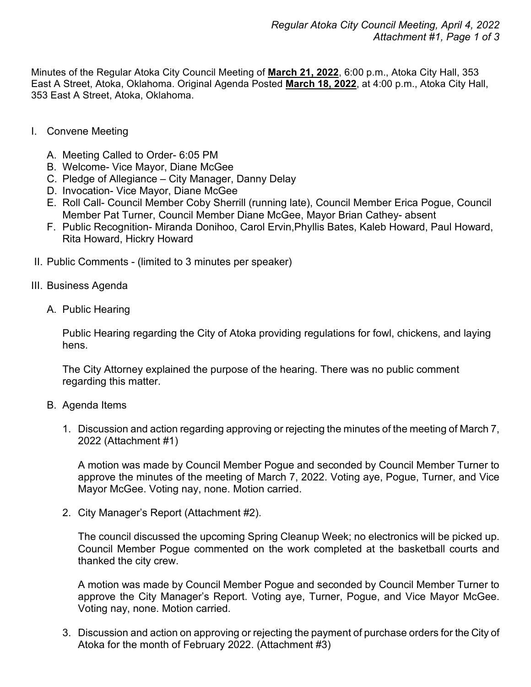Minutes of the Regular Atoka City Council Meeting of **March 21, 2022**, 6:00 p.m., Atoka City Hall, 353 East A Street, Atoka, Oklahoma. Original Agenda Posted **March 18, 2022**, at 4:00 p.m., Atoka City Hall, 353 East A Street, Atoka, Oklahoma.

- I. Convene Meeting
	- A. Meeting Called to Order- 6:05 PM
	- B. Welcome- Vice Mayor, Diane McGee
	- C. Pledge of Allegiance City Manager, Danny Delay
	- D. Invocation- Vice Mayor, Diane McGee
	- E. Roll Call- Council Member Coby Sherrill (running late), Council Member Erica Pogue, Council Member Pat Turner, Council Member Diane McGee, Mayor Brian Cathey- absent
	- F. Public Recognition- Miranda Donihoo, Carol Ervin,Phyllis Bates, Kaleb Howard, Paul Howard, Rita Howard, Hickry Howard
- II. Public Comments (limited to 3 minutes per speaker)
- III. Business Agenda
	- A. Public Hearing

Public Hearing regarding the City of Atoka providing regulations for fowl, chickens, and laying hens.

The City Attorney explained the purpose of the hearing. There was no public comment regarding this matter.

- B. Agenda Items
	- 1. Discussion and action regarding approving or rejecting the minutes of the meeting of March 7, 2022 (Attachment #1)

A motion was made by Council Member Pogue and seconded by Council Member Turner to approve the minutes of the meeting of March 7, 2022. Voting aye, Pogue, Turner, and Vice Mayor McGee. Voting nay, none. Motion carried.

2. City Manager's Report (Attachment #2).

The council discussed the upcoming Spring Cleanup Week; no electronics will be picked up. Council Member Pogue commented on the work completed at the basketball courts and thanked the city crew.

A motion was made by Council Member Pogue and seconded by Council Member Turner to approve the City Manager's Report. Voting aye, Turner, Pogue, and Vice Mayor McGee. Voting nay, none. Motion carried.

3. Discussion and action on approving or rejecting the payment of purchase orders for the City of Atoka for the month of February 2022. (Attachment #3)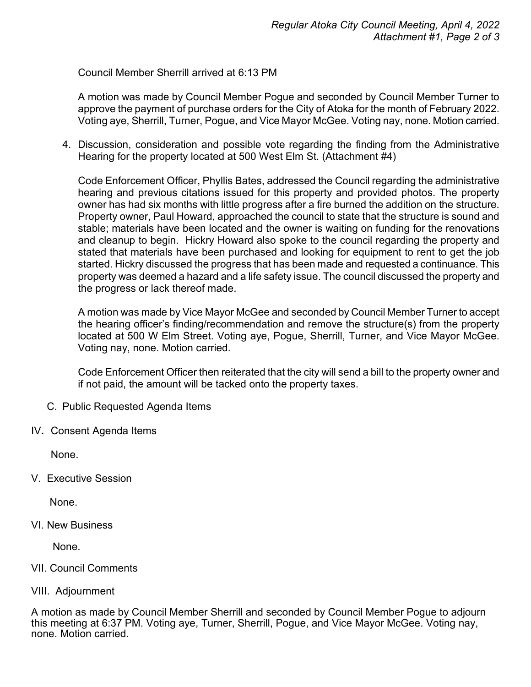Council Member Sherrill arrived at 6:13 PM

A motion was made by Council Member Pogue and seconded by Council Member Turner to approve the payment of purchase orders for the City of Atoka for the month of February 2022. Voting aye, Sherrill, Turner, Pogue, and Vice Mayor McGee. Voting nay, none. Motion carried.

4. Discussion, consideration and possible vote regarding the finding from the Administrative Hearing for the property located at 500 West Elm St. (Attachment #4)

Code Enforcement Officer, Phyllis Bates, addressed the Council regarding the administrative hearing and previous citations issued for this property and provided photos. The property owner has had six months with little progress after a fire burned the addition on the structure. Property owner, Paul Howard, approached the council to state that the structure is sound and stable; materials have been located and the owner is waiting on funding for the renovations and cleanup to begin. Hickry Howard also spoke to the council regarding the property and stated that materials have been purchased and looking for equipment to rent to get the job started. Hickry discussed the progress that has been made and requested a continuance. This property was deemed a hazard and a life safety issue. The council discussed the property and the progress or lack thereof made.

A motion was made by Vice Mayor McGee and seconded by Council Member Turner to accept the hearing officer's finding/recommendation and remove the structure(s) from the property located at 500 W Elm Street. Voting aye, Pogue, Sherrill, Turner, and Vice Mayor McGee. Voting nay, none. Motion carried.

Code Enforcement Officer then reiterated that the city will send a bill to the property owner and if not paid, the amount will be tacked onto the property taxes.

- C. Public Requested Agenda Items
- IV**.** Consent Agenda Items

None.

V. Executive Session

None.

VI. New Business

None.

## VII. Council Comments

## VIII. Adjournment

A motion as made by Council Member Sherrill and seconded by Council Member Pogue to adjourn this meeting at 6:37 PM. Voting aye, Turner, Sherrill, Pogue, and Vice Mayor McGee. Voting nay, none. Motion carried.